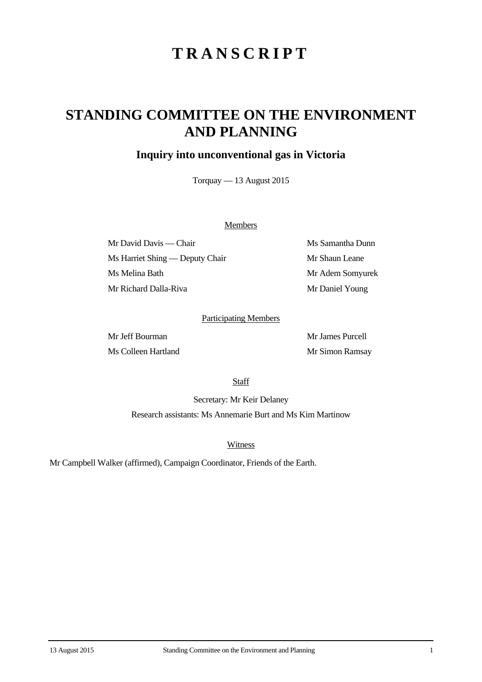# **TRANSCRIPT**

## **STANDING COMMITTEE ON THE ENVIRONMENT AND PLANNING**

### **Inquiry into unconventional gas in Victoria**

Torquay — 13 August 2015

#### **Members**

Mr David Davis — Chair Ms Samantha Dunn Ms Harriet Shing — Deputy Chair Mr Shaun Leane Ms Melina Bath Mr Adem Somyurek Mr Richard Dalla-Riva Mr Daniel Young

#### Participating Members

Mr Jeff Bourman Mr James Purcell Ms Colleen Hartland Mr Simon Ramsay

**Staff** 

Secretary: Mr Keir Delaney Research assistants: Ms Annemarie Burt and Ms Kim Martinow

**Witness** 

Mr Campbell Walker (affirmed), Campaign Coordinator, Friends of the Earth.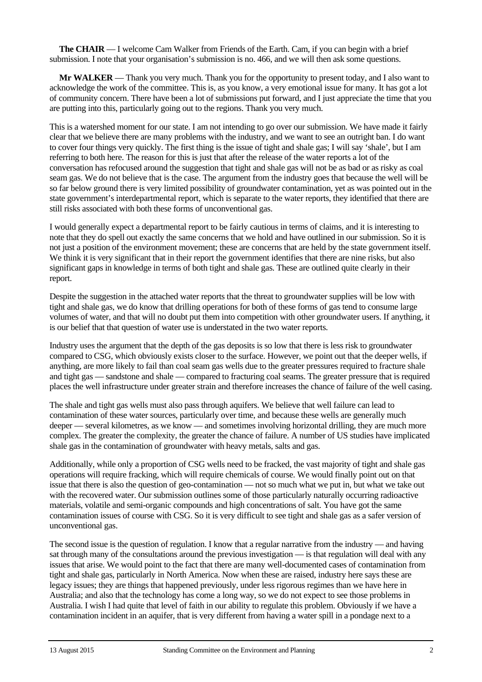**The CHAIR** — I welcome Cam Walker from Friends of the Earth. Cam, if you can begin with a brief submission. I note that your organisation's submission is no. 466, and we will then ask some questions.

**Mr WALKER** — Thank you very much. Thank you for the opportunity to present today, and I also want to acknowledge the work of the committee. This is, as you know, a very emotional issue for many. It has got a lot of community concern. There have been a lot of submissions put forward, and I just appreciate the time that you are putting into this, particularly going out to the regions. Thank you very much.

This is a watershed moment for our state. I am not intending to go over our submission. We have made it fairly clear that we believe there are many problems with the industry, and we want to see an outright ban. I do want to cover four things very quickly. The first thing is the issue of tight and shale gas; I will say 'shale', but I am referring to both here. The reason for this is just that after the release of the water reports a lot of the conversation has refocused around the suggestion that tight and shale gas will not be as bad or as risky as coal seam gas. We do not believe that is the case. The argument from the industry goes that because the well will be so far below ground there is very limited possibility of groundwater contamination, yet as was pointed out in the state government's interdepartmental report, which is separate to the water reports, they identified that there are still risks associated with both these forms of unconventional gas.

I would generally expect a departmental report to be fairly cautious in terms of claims, and it is interesting to note that they do spell out exactly the same concerns that we hold and have outlined in our submission. So it is not just a position of the environment movement; these are concerns that are held by the state government itself. We think it is very significant that in their report the government identifies that there are nine risks, but also significant gaps in knowledge in terms of both tight and shale gas. These are outlined quite clearly in their report.

Despite the suggestion in the attached water reports that the threat to groundwater supplies will be low with tight and shale gas, we do know that drilling operations for both of these forms of gas tend to consume large volumes of water, and that will no doubt put them into competition with other groundwater users. If anything, it is our belief that that question of water use is understated in the two water reports.

Industry uses the argument that the depth of the gas deposits is so low that there is less risk to groundwater compared to CSG, which obviously exists closer to the surface. However, we point out that the deeper wells, if anything, are more likely to fail than coal seam gas wells due to the greater pressures required to fracture shale and tight gas — sandstone and shale — compared to fracturing coal seams. The greater pressure that is required places the well infrastructure under greater strain and therefore increases the chance of failure of the well casing.

The shale and tight gas wells must also pass through aquifers. We believe that well failure can lead to contamination of these water sources, particularly over time, and because these wells are generally much deeper — several kilometres, as we know — and sometimes involving horizontal drilling, they are much more complex. The greater the complexity, the greater the chance of failure. A number of US studies have implicated shale gas in the contamination of groundwater with heavy metals, salts and gas.

Additionally, while only a proportion of CSG wells need to be fracked, the vast majority of tight and shale gas operations will require fracking, which will require chemicals of course. We would finally point out on that issue that there is also the question of geo-contamination — not so much what we put in, but what we take out with the recovered water. Our submission outlines some of those particularly naturally occurring radioactive materials, volatile and semi-organic compounds and high concentrations of salt. You have got the same contamination issues of course with CSG. So it is very difficult to see tight and shale gas as a safer version of unconventional gas.

The second issue is the question of regulation. I know that a regular narrative from the industry — and having sat through many of the consultations around the previous investigation — is that regulation will deal with any issues that arise. We would point to the fact that there are many well-documented cases of contamination from tight and shale gas, particularly in North America. Now when these are raised, industry here says these are legacy issues; they are things that happened previously, under less rigorous regimes than we have here in Australia; and also that the technology has come a long way, so we do not expect to see those problems in Australia. I wish I had quite that level of faith in our ability to regulate this problem. Obviously if we have a contamination incident in an aquifer, that is very different from having a water spill in a pondage next to a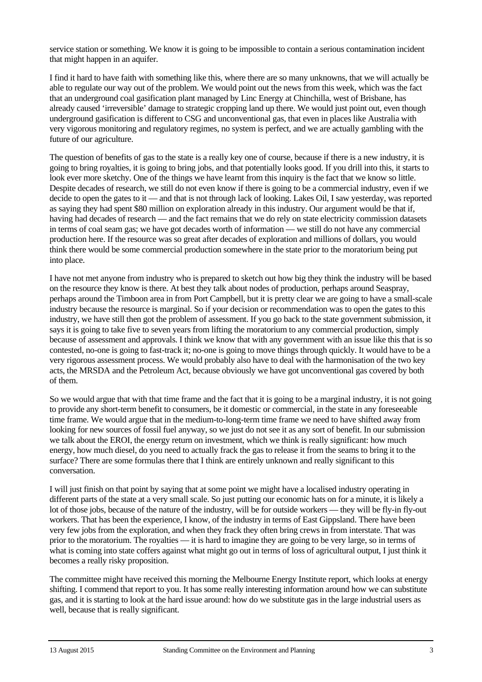service station or something. We know it is going to be impossible to contain a serious contamination incident that might happen in an aquifer.

I find it hard to have faith with something like this, where there are so many unknowns, that we will actually be able to regulate our way out of the problem. We would point out the news from this week, which was the fact that an underground coal gasification plant managed by Linc Energy at Chinchilla, west of Brisbane, has already caused 'irreversible' damage to strategic cropping land up there. We would just point out, even though underground gasification is different to CSG and unconventional gas, that even in places like Australia with very vigorous monitoring and regulatory regimes, no system is perfect, and we are actually gambling with the future of our agriculture.

The question of benefits of gas to the state is a really key one of course, because if there is a new industry, it is going to bring royalties, it is going to bring jobs, and that potentially looks good. If you drill into this, it starts to look ever more sketchy. One of the things we have learnt from this inquiry is the fact that we know so little. Despite decades of research, we still do not even know if there is going to be a commercial industry, even if we decide to open the gates to it — and that is not through lack of looking. Lakes Oil, I saw yesterday, was reported as saying they had spent \$80 million on exploration already in this industry. Our argument would be that if, having had decades of research — and the fact remains that we do rely on state electricity commission datasets in terms of coal seam gas; we have got decades worth of information — we still do not have any commercial production here. If the resource was so great after decades of exploration and millions of dollars, you would think there would be some commercial production somewhere in the state prior to the moratorium being put into place.

I have not met anyone from industry who is prepared to sketch out how big they think the industry will be based on the resource they know is there. At best they talk about nodes of production, perhaps around Seaspray, perhaps around the Timboon area in from Port Campbell, but it is pretty clear we are going to have a small-scale industry because the resource is marginal. So if your decision or recommendation was to open the gates to this industry, we have still then got the problem of assessment. If you go back to the state government submission, it says it is going to take five to seven years from lifting the moratorium to any commercial production, simply because of assessment and approvals. I think we know that with any government with an issue like this that is so contested, no-one is going to fast-track it; no-one is going to move things through quickly. It would have to be a very rigorous assessment process. We would probably also have to deal with the harmonisation of the two key acts, the MRSDA and the Petroleum Act, because obviously we have got unconventional gas covered by both of them.

So we would argue that with that time frame and the fact that it is going to be a marginal industry, it is not going to provide any short-term benefit to consumers, be it domestic or commercial, in the state in any foreseeable time frame. We would argue that in the medium-to-long-term time frame we need to have shifted away from looking for new sources of fossil fuel anyway, so we just do not see it as any sort of benefit. In our submission we talk about the EROI, the energy return on investment, which we think is really significant: how much energy, how much diesel, do you need to actually frack the gas to release it from the seams to bring it to the surface? There are some formulas there that I think are entirely unknown and really significant to this conversation.

I will just finish on that point by saying that at some point we might have a localised industry operating in different parts of the state at a very small scale. So just putting our economic hats on for a minute, it is likely a lot of those jobs, because of the nature of the industry, will be for outside workers — they will be fly-in fly-out workers. That has been the experience, I know, of the industry in terms of East Gippsland. There have been very few jobs from the exploration, and when they frack they often bring crews in from interstate. That was prior to the moratorium. The royalties — it is hard to imagine they are going to be very large, so in terms of what is coming into state coffers against what might go out in terms of loss of agricultural output, I just think it becomes a really risky proposition.

The committee might have received this morning the Melbourne Energy Institute report, which looks at energy shifting. I commend that report to you. It has some really interesting information around how we can substitute gas, and it is starting to look at the hard issue around: how do we substitute gas in the large industrial users as well, because that is really significant.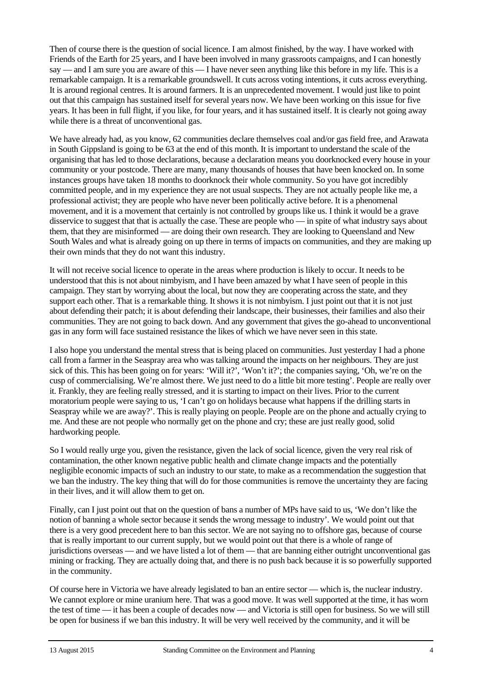Then of course there is the question of social licence. I am almost finished, by the way. I have worked with Friends of the Earth for 25 years, and I have been involved in many grassroots campaigns, and I can honestly say — and I am sure you are aware of this — I have never seen anything like this before in my life. This is a remarkable campaign. It is a remarkable groundswell. It cuts across voting intentions, it cuts across everything. It is around regional centres. It is around farmers. It is an unprecedented movement. I would just like to point out that this campaign has sustained itself for several years now. We have been working on this issue for five years. It has been in full flight, if you like, for four years, and it has sustained itself. It is clearly not going away while there is a threat of unconventional gas.

We have already had, as you know, 62 communities declare themselves coal and/or gas field free, and Arawata in South Gippsland is going to be 63 at the end of this month. It is important to understand the scale of the organising that has led to those declarations, because a declaration means you doorknocked every house in your community or your postcode. There are many, many thousands of houses that have been knocked on. In some instances groups have taken 18 months to doorknock their whole community. So you have got incredibly committed people, and in my experience they are not usual suspects. They are not actually people like me, a professional activist; they are people who have never been politically active before. It is a phenomenal movement, and it is a movement that certainly is not controlled by groups like us. I think it would be a grave disservice to suggest that that is actually the case. These are people who — in spite of what industry says about them, that they are misinformed — are doing their own research. They are looking to Queensland and New South Wales and what is already going on up there in terms of impacts on communities, and they are making up their own minds that they do not want this industry.

It will not receive social licence to operate in the areas where production is likely to occur. It needs to be understood that this is not about nimbyism, and I have been amazed by what I have seen of people in this campaign. They start by worrying about the local, but now they are cooperating across the state, and they support each other. That is a remarkable thing. It shows it is not nimby ism. I just point out that it is not just about defending their patch; it is about defending their landscape, their businesses, their families and also their communities. They are not going to back down. And any government that gives the go-ahead to unconventional gas in any form will face sustained resistance the likes of which we have never seen in this state.

I also hope you understand the mental stress that is being placed on communities. Just yesterday I had a phone call from a farmer in the Seaspray area who was talking around the impacts on her neighbours. They are just sick of this. This has been going on for years: 'Will it?', 'Won't it?'; the companies saying, 'Oh, we're on the cusp of commercialising. We're almost there. We just need to do a little bit more testing'. People are really over it. Frankly, they are feeling really stressed, and it is starting to impact on their lives. Prior to the current moratorium people were saying to us, 'I can't go on holidays because what happens if the drilling starts in Seaspray while we are away?'. This is really playing on people. People are on the phone and actually crying to me. And these are not people who normally get on the phone and cry; these are just really good, solid hardworking people.

So I would really urge you, given the resistance, given the lack of social licence, given the very real risk of contamination, the other known negative public health and climate change impacts and the potentially negligible economic impacts of such an industry to our state, to make as a recommendation the suggestion that we ban the industry. The key thing that will do for those communities is remove the uncertainty they are facing in their lives, and it will allow them to get on.

Finally, can I just point out that on the question of bans a number of MPs have said to us, 'We don't like the notion of banning a whole sector because it sends the wrong message to industry'. We would point out that there is a very good precedent here to ban this sector. We are not saying no to offshore gas, because of course that is really important to our current supply, but we would point out that there is a whole of range of jurisdictions overseas — and we have listed a lot of them — that are banning either outright unconventional gas mining or fracking. They are actually doing that, and there is no push back because it is so powerfully supported in the community.

Of course here in Victoria we have already legislated to ban an entire sector — which is, the nuclear industry. We cannot explore or mine uranium here. That was a good move. It was well supported at the time, it has worn the test of time — it has been a couple of decades now — and Victoria is still open for business. So we will still be open for business if we ban this industry. It will be very well received by the community, and it will be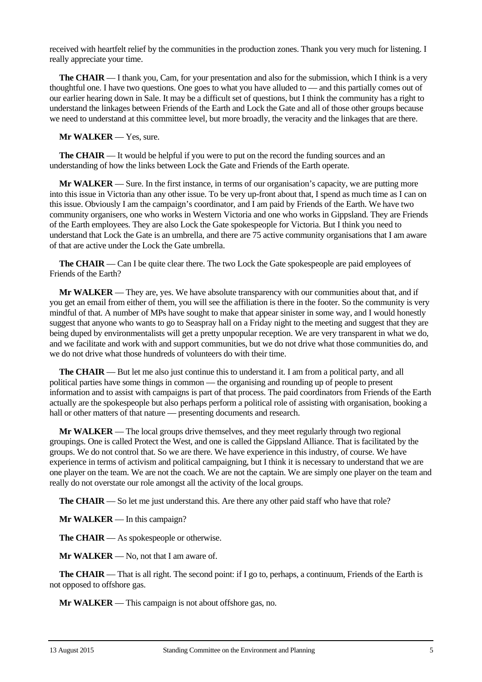received with heartfelt relief by the communities in the production zones. Thank you very much for listening. I really appreciate your time.

**The CHAIR** — I thank you, Cam, for your presentation and also for the submission, which I think is a very thoughtful one. I have two questions. One goes to what you have alluded to — and this partially comes out of our earlier hearing down in Sale. It may be a difficult set of questions, but I think the community has a right to understand the linkages between Friends of the Earth and Lock the Gate and all of those other groups because we need to understand at this committee level, but more broadly, the veracity and the linkages that are there.

**Mr WALKER** — Yes, sure.

**The CHAIR** — It would be helpful if you were to put on the record the funding sources and an understanding of how the links between Lock the Gate and Friends of the Earth operate.

**Mr WALKER** — Sure. In the first instance, in terms of our organisation's capacity, we are putting more into this issue in Victoria than any other issue. To be very up-front about that, I spend as much time as I can on this issue. Obviously I am the campaign's coordinator, and I am paid by Friends of the Earth. We have two community organisers, one who works in Western Victoria and one who works in Gippsland. They are Friends of the Earth employees. They are also Lock the Gate spokespeople for Victoria. But I think you need to understand that Lock the Gate is an umbrella, and there are 75 active community organisations that I am aware of that are active under the Lock the Gate umbrella.

**The CHAIR** — Can I be quite clear there. The two Lock the Gate spokespeople are paid employees of Friends of the Earth?

**Mr WALKER** — They are, yes. We have absolute transparency with our communities about that, and if you get an email from either of them, you will see the affiliation is there in the footer. So the community is very mindful of that. A number of MPs have sought to make that appear sinister in some way, and I would honestly suggest that anyone who wants to go to Seaspray hall on a Friday night to the meeting and suggest that they are being duped by environmentalists will get a pretty unpopular reception. We are very transparent in what we do, and we facilitate and work with and support communities, but we do not drive what those communities do, and we do not drive what those hundreds of volunteers do with their time.

**The CHAIR** — But let me also just continue this to understand it. I am from a political party, and all political parties have some things in common — the organising and rounding up of people to present information and to assist with campaigns is part of that process. The paid coordinators from Friends of the Earth actually are the spokespeople but also perhaps perform a political role of assisting with organisation, booking a hall or other matters of that nature — presenting documents and research.

**Mr WALKER** — The local groups drive themselves, and they meet regularly through two regional groupings. One is called Protect the West, and one is called the Gippsland Alliance. That is facilitated by the groups. We do not control that. So we are there. We have experience in this industry, of course. We have experience in terms of activism and political campaigning, but I think it is necessary to understand that we are one player on the team. We are not the coach. We are not the captain. We are simply one player on the team and really do not overstate our role amongst all the activity of the local groups.

**The CHAIR** — So let me just understand this. Are there any other paid staff who have that role?

**Mr WALKER** — In this campaign?

**The CHAIR** — As spokespeople or otherwise.

**Mr WALKER** — No, not that I am aware of.

**The CHAIR** — That is all right. The second point: if I go to, perhaps, a continuum, Friends of the Earth is not opposed to offshore gas.

**Mr WALKER** — This campaign is not about offshore gas, no.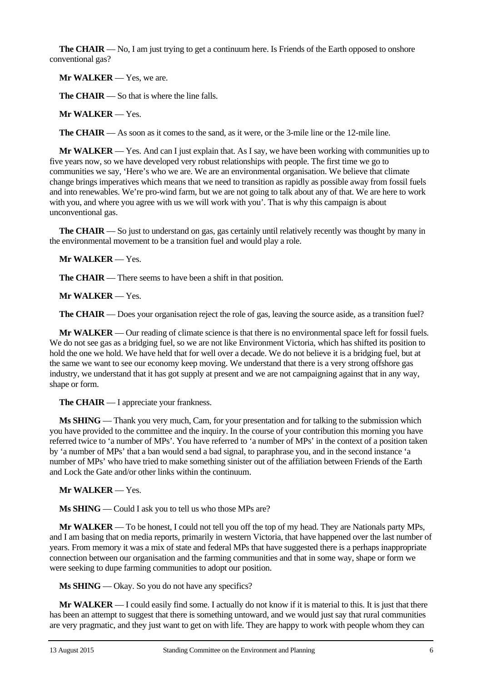**The CHAIR** — No, I am just trying to get a continuum here. Is Friends of the Earth opposed to onshore conventional gas?

**Mr WALKER** — Yes, we are.

**The CHAIR** — So that is where the line falls.

**Mr WALKER** — Yes.

**The CHAIR** — As soon as it comes to the sand, as it were, or the 3-mile line or the 12-mile line.

**Mr WALKER** — Yes. And can I just explain that. As I say, we have been working with communities up to five years now, so we have developed very robust relationships with people. The first time we go to communities we say, 'Here's who we are. We are an environmental organisation. We believe that climate change brings imperatives which means that we need to transition as rapidly as possible away from fossil fuels and into renewables. We're pro-wind farm, but we are not going to talk about any of that. We are here to work with you, and where you agree with us we will work with you'. That is why this campaign is about unconventional gas.

**The CHAIR** — So just to understand on gas, gas certainly until relatively recently was thought by many in the environmental movement to be a transition fuel and would play a role.

**Mr WALKER** — Yes.

**The CHAIR** — There seems to have been a shift in that position.

**Mr WALKER** — Yes.

**The CHAIR** — Does your organisation reject the role of gas, leaving the source aside, as a transition fuel?

**Mr WALKER** — Our reading of climate science is that there is no environmental space left for fossil fuels. We do not see gas as a bridging fuel, so we are not like Environment Victoria, which has shifted its position to hold the one we hold. We have held that for well over a decade. We do not believe it is a bridging fuel, but at the same we want to see our economy keep moving. We understand that there is a very strong offshore gas industry, we understand that it has got supply at present and we are not campaigning against that in any way, shape or form.

**The CHAIR** — I appreciate your frankness.

**Ms SHING** — Thank you very much, Cam, for your presentation and for talking to the submission which you have provided to the committee and the inquiry. In the course of your contribution this morning you have referred twice to 'a number of MPs'. You have referred to 'a number of MPs' in the context of a position taken by 'a number of MPs' that a ban would send a bad signal, to paraphrase you, and in the second instance 'a number of MPs' who have tried to make something sinister out of the affiliation between Friends of the Earth and Lock the Gate and/or other links within the continuum.

**Mr WALKER** — Yes.

**Ms SHING** — Could I ask you to tell us who those MPs are?

**Mr WALKER** — To be honest, I could not tell you off the top of my head. They are Nationals party MPs, and I am basing that on media reports, primarily in western Victoria, that have happened over the last number of years. From memory it was a mix of state and federal MPs that have suggested there is a perhaps inappropriate connection between our organisation and the farming communities and that in some way, shape or form we were seeking to dupe farming communities to adopt our position.

**Ms SHING** — Okay. So you do not have any specifics?

**Mr WALKER** — I could easily find some. I actually do not know if it is material to this. It is just that there has been an attempt to suggest that there is something untoward, and we would just say that rural communities are very pragmatic, and they just want to get on with life. They are happy to work with people whom they can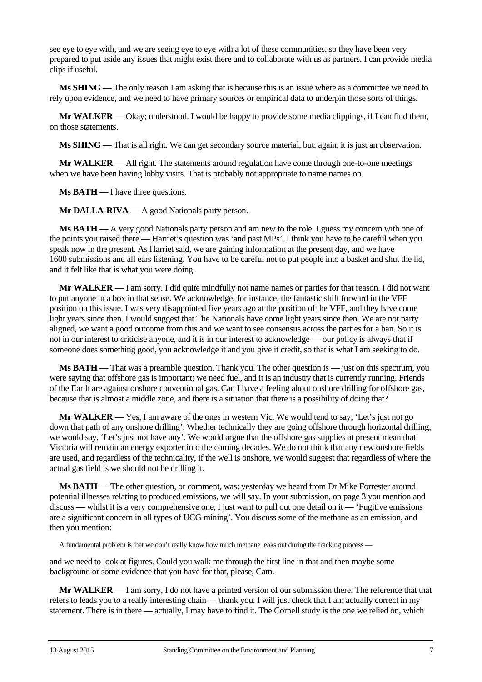see eye to eye with, and we are seeing eye to eye with a lot of these communities, so they have been very prepared to put aside any issues that might exist there and to collaborate with us as partners. I can provide media clips if useful.

**Ms SHING** — The only reason I am asking that is because this is an issue where as a committee we need to rely upon evidence, and we need to have primary sources or empirical data to underpin those sorts of things.

**Mr WALKER** — Okay; understood. I would be happy to provide some media clippings, if I can find them, on those statements.

**Ms SHING** — That is all right. We can get secondary source material, but, again, it is just an observation.

**Mr WALKER** — All right. The statements around regulation have come through one-to-one meetings when we have been having lobby visits. That is probably not appropriate to name names on.

**Ms BATH** — I have three questions.

**Mr DALLA-RIVA** — A good Nationals party person.

**Ms BATH** — A very good Nationals party person and am new to the role. I guess my concern with one of the points you raised there — Harriet's question was 'and past MPs'. I think you have to be careful when you speak now in the present. As Harriet said, we are gaining information at the present day, and we have 1600 submissions and all ears listening. You have to be careful not to put people into a basket and shut the lid, and it felt like that is what you were doing.

**Mr WALKER** — I am sorry. I did quite mindfully not name names or parties for that reason. I did not want to put anyone in a box in that sense. We acknowledge, for instance, the fantastic shift forward in the VFF position on this issue. I was very disappointed five years ago at the position of the VFF, and they have come light years since then. I would suggest that The Nationals have come light years since then. We are not party aligned, we want a good outcome from this and we want to see consensus across the parties for a ban. So it is not in our interest to criticise anyone, and it is in our interest to acknowledge — our policy is always that if someone does something good, you acknowledge it and you give it credit, so that is what I am seeking to do.

**Ms BATH** — That was a preamble question. Thank you. The other question is — just on this spectrum, you were saying that offshore gas is important; we need fuel, and it is an industry that is currently running. Friends of the Earth are against onshore conventional gas. Can I have a feeling about onshore drilling for offshore gas, because that is almost a middle zone, and there is a situation that there is a possibility of doing that?

**Mr WALKER** — Yes, I am aware of the ones in western Vic. We would tend to say, 'Let's just not go down that path of any onshore drilling'. Whether technically they are going offshore through horizontal drilling, we would say, 'Let's just not have any'. We would argue that the offshore gas supplies at present mean that Victoria will remain an energy exporter into the coming decades. We do not think that any new onshore fields are used, and regardless of the technicality, if the well is onshore, we would suggest that regardless of where the actual gas field is we should not be drilling it.

**Ms BATH** — The other question, or comment, was: yesterday we heard from Dr Mike Forrester around potential illnesses relating to produced emissions, we will say. In your submission, on page 3 you mention and discuss — whilst it is a very comprehensive one, I just want to pull out one detail on it — 'Fugitive emissions are a significant concern in all types of UCG mining'. You discuss some of the methane as an emission, and then you mention:

A fundamental problem is that we don't really know how much methane leaks out during the fracking process —

and we need to look at figures. Could you walk me through the first line in that and then maybe some background or some evidence that you have for that, please, Cam.

**Mr WALKER** — I am sorry, I do not have a printed version of our submission there. The reference that that refers to leads you to a really interesting chain — thank you. I will just check that I am actually correct in my statement. There is in there — actually, I may have to find it. The Cornell study is the one we relied on, which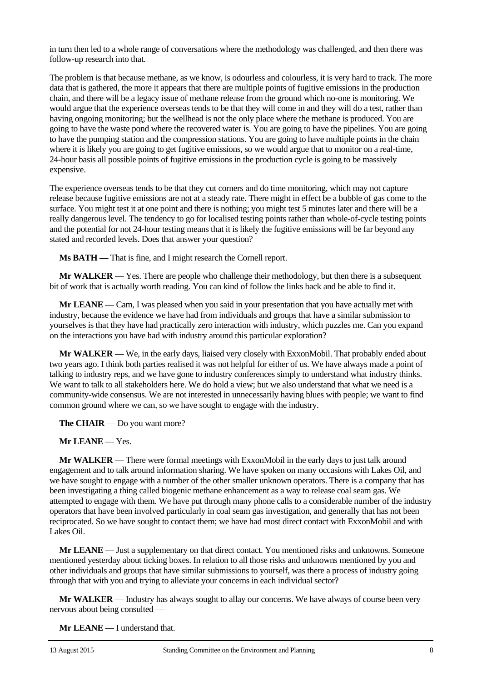in turn then led to a whole range of conversations where the methodology was challenged, and then there was follow-up research into that.

The problem is that because methane, as we know, is odourless and colourless, it is very hard to track. The more data that is gathered, the more it appears that there are multiple points of fugitive emissions in the production chain, and there will be a legacy issue of methane release from the ground which no-one is monitoring. We would argue that the experience overseas tends to be that they will come in and they will do a test, rather than having ongoing monitoring; but the wellhead is not the only place where the methane is produced. You are going to have the waste pond where the recovered water is. You are going to have the pipelines. You are going to have the pumping station and the compression stations. You are going to have multiple points in the chain where it is likely you are going to get fugitive emissions, so we would argue that to monitor on a real-time, 24-hour basis all possible points of fugitive emissions in the production cycle is going to be massively expensive.

The experience overseas tends to be that they cut corners and do time monitoring, which may not capture release because fugitive emissions are not at a steady rate. There might in effect be a bubble of gas come to the surface. You might test it at one point and there is nothing; you might test 5 minutes later and there will be a really dangerous level. The tendency to go for localised testing points rather than whole-of-cycle testing points and the potential for not 24-hour testing means that it is likely the fugitive emissions will be far beyond any stated and recorded levels. Does that answer your question?

**Ms BATH** — That is fine, and I might research the Cornell report.

**Mr WALKER** — Yes. There are people who challenge their methodology, but then there is a subsequent bit of work that is actually worth reading. You can kind of follow the links back and be able to find it.

**Mr LEANE** — Cam, I was pleased when you said in your presentation that you have actually met with industry, because the evidence we have had from individuals and groups that have a similar submission to yourselves is that they have had practically zero interaction with industry, which puzzles me. Can you expand on the interactions you have had with industry around this particular exploration?

**Mr WALKER** — We, in the early days, liaised very closely with ExxonMobil. That probably ended about two years ago. I think both parties realised it was not helpful for either of us. We have always made a point of talking to industry reps, and we have gone to industry conferences simply to understand what industry thinks. We want to talk to all stakeholders here. We do hold a view; but we also understand that what we need is a community-wide consensus. We are not interested in unnecessarily having blues with people; we want to find common ground where we can, so we have sought to engage with the industry.

**The CHAIR** — Do you want more?

**Mr LEANE** — Yes.

**Mr WALKER** — There were formal meetings with ExxonMobil in the early days to just talk around engagement and to talk around information sharing. We have spoken on many occasions with Lakes Oil, and we have sought to engage with a number of the other smaller unknown operators. There is a company that has been investigating a thing called biogenic methane enhancement as a way to release coal seam gas. We attempted to engage with them. We have put through many phone calls to a considerable number of the industry operators that have been involved particularly in coal seam gas investigation, and generally that has not been reciprocated. So we have sought to contact them; we have had most direct contact with ExxonMobil and with Lakes Oil.

**Mr LEANE** — Just a supplementary on that direct contact. You mentioned risks and unknowns. Someone mentioned yesterday about ticking boxes. In relation to all those risks and unknowns mentioned by you and other individuals and groups that have similar submissions to yourself, was there a process of industry going through that with you and trying to alleviate your concerns in each individual sector?

**Mr WALKER** — Industry has always sought to allay our concerns. We have always of course been very nervous about being consulted —

**Mr LEANE** — I understand that.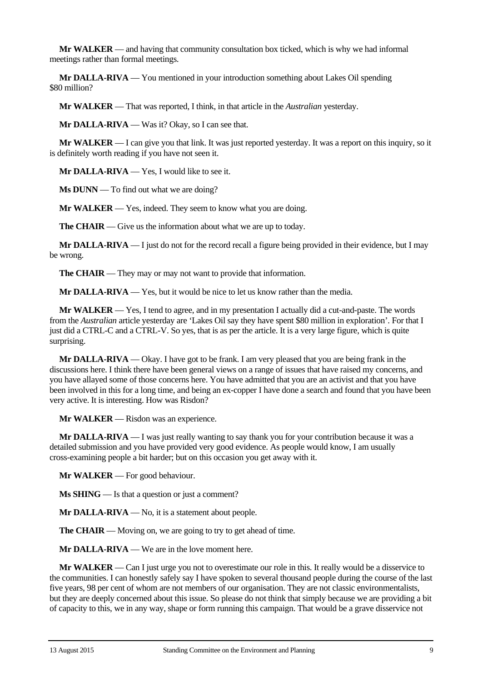**Mr WALKER** — and having that community consultation box ticked, which is why we had informal meetings rather than formal meetings.

**Mr DALLA-RIVA** — You mentioned in your introduction something about Lakes Oil spending \$80 million?

**Mr WALKER** — That was reported, I think, in that article in the *Australian* yesterday.

**Mr DALLA-RIVA** — Was it? Okay, so I can see that.

**Mr WALKER** — I can give you that link. It was just reported yesterday. It was a report on this inquiry, so it is definitely worth reading if you have not seen it.

**Mr DALLA-RIVA** — Yes, I would like to see it.

**Ms DUNN** — To find out what we are doing?

**Mr WALKER** — Yes, indeed. They seem to know what you are doing.

**The CHAIR** — Give us the information about what we are up to today.

**Mr DALLA-RIVA** — I just do not for the record recall a figure being provided in their evidence, but I may be wrong.

**The CHAIR** — They may or may not want to provide that information.

**Mr DALLA-RIVA** — Yes, but it would be nice to let us know rather than the media.

**Mr WALKER** — Yes, I tend to agree, and in my presentation I actually did a cut-and-paste. The words from the *Australian* article yesterday are 'Lakes Oil say they have spent \$80 million in exploration'. For that I just did a CTRL-C and a CTRL-V. So yes, that is as per the article. It is a very large figure, which is quite surprising.

**Mr DALLA-RIVA** — Okay. I have got to be frank. I am very pleased that you are being frank in the discussions here. I think there have been general views on a range of issues that have raised my concerns, and you have allayed some of those concerns here. You have admitted that you are an activist and that you have been involved in this for a long time, and being an ex-copper I have done a search and found that you have been very active. It is interesting. How was Risdon?

**Mr WALKER** — Risdon was an experience.

**Mr DALLA-RIVA** — I was just really wanting to say thank you for your contribution because it was a detailed submission and you have provided very good evidence. As people would know, I am usually cross-examining people a bit harder; but on this occasion you get away with it.

**Mr WALKER** — For good behaviour.

**Ms SHING** — Is that a question or just a comment?

**Mr DALLA-RIVA** — No, it is a statement about people.

**The CHAIR** — Moving on, we are going to try to get ahead of time.

**Mr DALLA-RIVA** — We are in the love moment here.

**Mr WALKER** — Can I just urge you not to overestimate our role in this. It really would be a disservice to the communities. I can honestly safely say I have spoken to several thousand people during the course of the last five years, 98 per cent of whom are not members of our organisation. They are not classic environmentalists, but they are deeply concerned about this issue. So please do not think that simply because we are providing a bit of capacity to this, we in any way, shape or form running this campaign. That would be a grave disservice not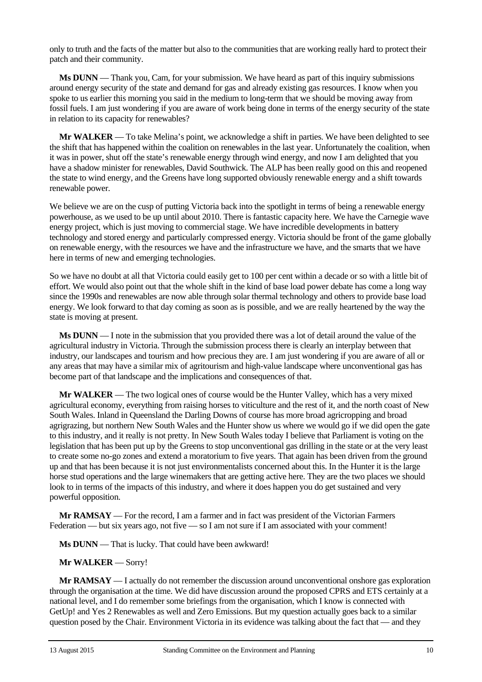only to truth and the facts of the matter but also to the communities that are working really hard to protect their patch and their community.

**Ms DUNN** — Thank you, Cam, for your submission. We have heard as part of this inquiry submissions around energy security of the state and demand for gas and already existing gas resources. I know when you spoke to us earlier this morning you said in the medium to long-term that we should be moving away from fossil fuels. I am just wondering if you are aware of work being done in terms of the energy security of the state in relation to its capacity for renewables?

**Mr WALKER** — To take Melina's point, we acknowledge a shift in parties. We have been delighted to see the shift that has happened within the coalition on renewables in the last year. Unfortunately the coalition, when it was in power, shut off the state's renewable energy through wind energy, and now I am delighted that you have a shadow minister for renewables, David Southwick. The ALP has been really good on this and reopened the state to wind energy, and the Greens have long supported obviously renewable energy and a shift towards renewable power.

We believe we are on the cusp of putting Victoria back into the spotlight in terms of being a renewable energy powerhouse, as we used to be up until about 2010. There is fantastic capacity here. We have the Carnegie wave energy project, which is just moving to commercial stage. We have incredible developments in battery technology and stored energy and particularly compressed energy. Victoria should be front of the game globally on renewable energy, with the resources we have and the infrastructure we have, and the smarts that we have here in terms of new and emerging technologies.

So we have no doubt at all that Victoria could easily get to 100 per cent within a decade or so with a little bit of effort. We would also point out that the whole shift in the kind of base load power debate has come a long way since the 1990s and renewables are now able through solar thermal technology and others to provide base load energy. We look forward to that day coming as soon as is possible, and we are really heartened by the way the state is moving at present.

**Ms DUNN** — I note in the submission that you provided there was a lot of detail around the value of the agricultural industry in Victoria. Through the submission process there is clearly an interplay between that industry, our landscapes and tourism and how precious they are. I am just wondering if you are aware of all or any areas that may have a similar mix of agritourism and high-value landscape where unconventional gas has become part of that landscape and the implications and consequences of that.

**Mr WALKER** — The two logical ones of course would be the Hunter Valley, which has a very mixed agricultural economy, everything from raising horses to viticulture and the rest of it, and the north coast of New South Wales. Inland in Queensland the Darling Downs of course has more broad agricropping and broad agrigrazing, but northern New South Wales and the Hunter show us where we would go if we did open the gate to this industry, and it really is not pretty. In New South Wales today I believe that Parliament is voting on the legislation that has been put up by the Greens to stop unconventional gas drilling in the state or at the very least to create some no-go zones and extend a moratorium to five years. That again has been driven from the ground up and that has been because it is not just environmentalists concerned about this. In the Hunter it is the large horse stud operations and the large winemakers that are getting active here. They are the two places we should look to in terms of the impacts of this industry, and where it does happen you do get sustained and very powerful opposition.

**Mr RAMSAY** — For the record, I am a farmer and in fact was president of the Victorian Farmers Federation — but six years ago, not five — so I am not sure if I am associated with your comment!

**Ms DUNN** — That is lucky. That could have been awkward!

#### **Mr WALKER** — Sorry!

**Mr RAMSAY** — I actually do not remember the discussion around unconventional onshore gas exploration through the organisation at the time. We did have discussion around the proposed CPRS and ETS certainly at a national level, and I do remember some briefings from the organisation, which I know is connected with GetUp! and Yes 2 Renewables as well and Zero Emissions. But my question actually goes back to a similar question posed by the Chair. Environment Victoria in its evidence was talking about the fact that — and they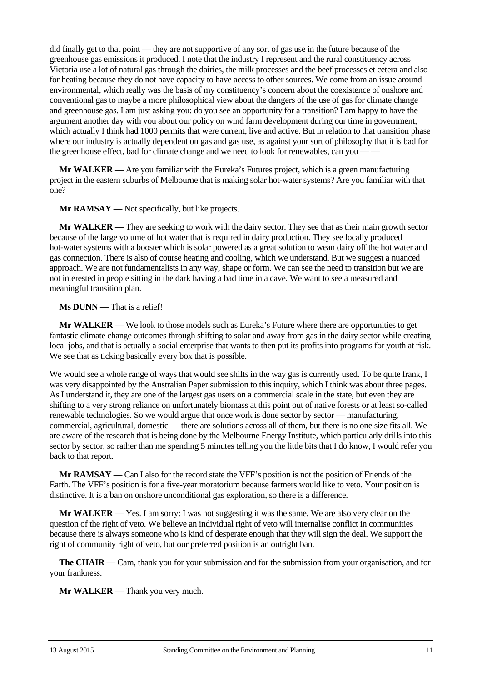did finally get to that point — they are not supportive of any sort of gas use in the future because of the greenhouse gas emissions it produced. I note that the industry I represent and the rural constituency across Victoria use a lot of natural gas through the dairies, the milk processes and the beef processes et cetera and also for heating because they do not have capacity to have access to other sources. We come from an issue around environmental, which really was the basis of my constituency's concern about the coexistence of onshore and conventional gas to maybe a more philosophical view about the dangers of the use of gas for climate change and greenhouse gas. I am just asking you: do you see an opportunity for a transition? I am happy to have the argument another day with you about our policy on wind farm development during our time in government, which actually I think had 1000 permits that were current, live and active. But in relation to that transition phase where our industry is actually dependent on gas and gas use, as against your sort of philosophy that it is bad for the greenhouse effect, bad for climate change and we need to look for renewables, can you —

**Mr WALKER** — Are you familiar with the Eureka's Futures project, which is a green manufacturing project in the eastern suburbs of Melbourne that is making solar hot-water systems? Are you familiar with that one?

**Mr RAMSAY** — Not specifically, but like projects.

**Mr WALKER** — They are seeking to work with the dairy sector. They see that as their main growth sector because of the large volume of hot water that is required in dairy production. They see locally produced hot-water systems with a booster which is solar powered as a great solution to wean dairy off the hot water and gas connection. There is also of course heating and cooling, which we understand. But we suggest a nuanced approach. We are not fundamentalists in any way, shape or form. We can see the need to transition but we are not interested in people sitting in the dark having a bad time in a cave. We want to see a measured and meaningful transition plan.

#### **Ms DUNN** — That is a relief!

**Mr WALKER** — We look to those models such as Eureka's Future where there are opportunities to get fantastic climate change outcomes through shifting to solar and away from gas in the dairy sector while creating local jobs, and that is actually a social enterprise that wants to then put its profits into programs for youth at risk. We see that as ticking basically every box that is possible.

We would see a whole range of ways that would see shifts in the way gas is currently used. To be quite frank, I was very disappointed by the Australian Paper submission to this inquiry, which I think was about three pages. As I understand it, they are one of the largest gas users on a commercial scale in the state, but even they are shifting to a very strong reliance on unfortunately biomass at this point out of native forests or at least so-called renewable technologies. So we would argue that once work is done sector by sector — manufacturing, commercial, agricultural, domestic — there are solutions across all of them, but there is no one size fits all. We are aware of the research that is being done by the Melbourne Energy Institute, which particularly drills into this sector by sector, so rather than me spending 5 minutes telling you the little bits that I do know, I would refer you back to that report.

**Mr RAMSAY** — Can I also for the record state the VFF's position is not the position of Friends of the Earth. The VFF's position is for a five-year moratorium because farmers would like to veto. Your position is distinctive. It is a ban on onshore unconditional gas exploration, so there is a difference.

**Mr WALKER** — Yes. I am sorry: I was not suggesting it was the same. We are also very clear on the question of the right of veto. We believe an individual right of veto will internalise conflict in communities because there is always someone who is kind of desperate enough that they will sign the deal. We support the right of community right of veto, but our preferred position is an outright ban.

**The CHAIR** — Cam, thank you for your submission and for the submission from your organisation, and for your frankness.

**Mr WALKER** — Thank you very much.